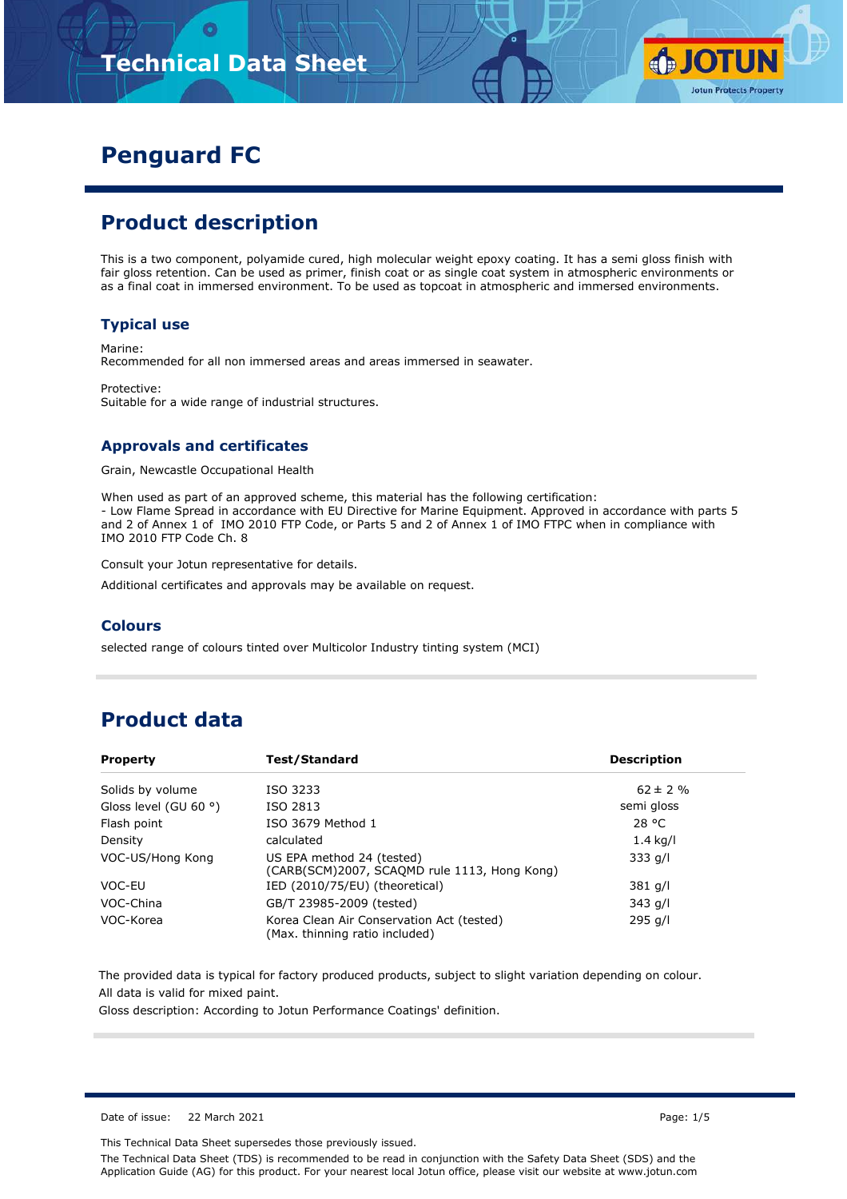# **Technical Data Sheet**



# **Penguard FC**

## **Product description**

This is a two component, polyamide cured, high molecular weight epoxy coating. It has a semi gloss finish with fair gloss retention. Can be used as primer, finish coat or as single coat system in atmospheric environments or as a final coat in immersed environment. To be used as topcoat in atmospheric and immersed environments.

#### **Typical use**

Marine:

Recommended for all non immersed areas and areas immersed in seawater.

Protective: Suitable for a wide range of industrial structures.

#### **Approvals and certificates**

Grain, Newcastle Occupational Health

When used as part of an approved scheme, this material has the following certification: - Low Flame Spread in accordance with EU Directive for Marine Equipment. Approved in accordance with parts 5 and 2 of Annex 1 of IMO 2010 FTP Code, or Parts 5 and 2 of Annex 1 of IMO FTPC when in compliance with IMO 2010 FTP Code Ch. 8

Consult your Jotun representative for details.

Additional certificates and approvals may be available on request.

#### **Colours**

selected range of colours tinted over Multicolor Industry tinting system (MCI)

### **Product data**

| <b>Property</b>                | Test/Standard                                                               | <b>Description</b> |
|--------------------------------|-----------------------------------------------------------------------------|--------------------|
| Solids by volume               | ISO 3233                                                                    | $62 \pm 2 \%$      |
| Gloss level (GU 60 $\degree$ ) | ISO 2813                                                                    | semi gloss         |
| Flash point                    | ISO 3679 Method 1                                                           | 28 °C              |
| Density                        | calculated                                                                  | $1.4$ kg/l         |
| VOC-US/Hong Kong               | US EPA method 24 (tested)<br>(CARB(SCM)2007, SCAQMD rule 1113, Hong Kong)   | $333$ g/l          |
| VOC-EU                         | IED (2010/75/EU) (theoretical)                                              | 381 g/l            |
| VOC-China                      | GB/T 23985-2009 (tested)                                                    | 343 g/l            |
| VOC-Korea                      | Korea Clean Air Conservation Act (tested)<br>(Max. thinning ratio included) | 295 g/l            |

The provided data is typical for factory produced products, subject to slight variation depending on colour. All data is valid for mixed paint.

Gloss description: According to Jotun Performance Coatings' definition.

Date of issue: 22 March 2021 Page: 1/5

This Technical Data Sheet supersedes those previously issued.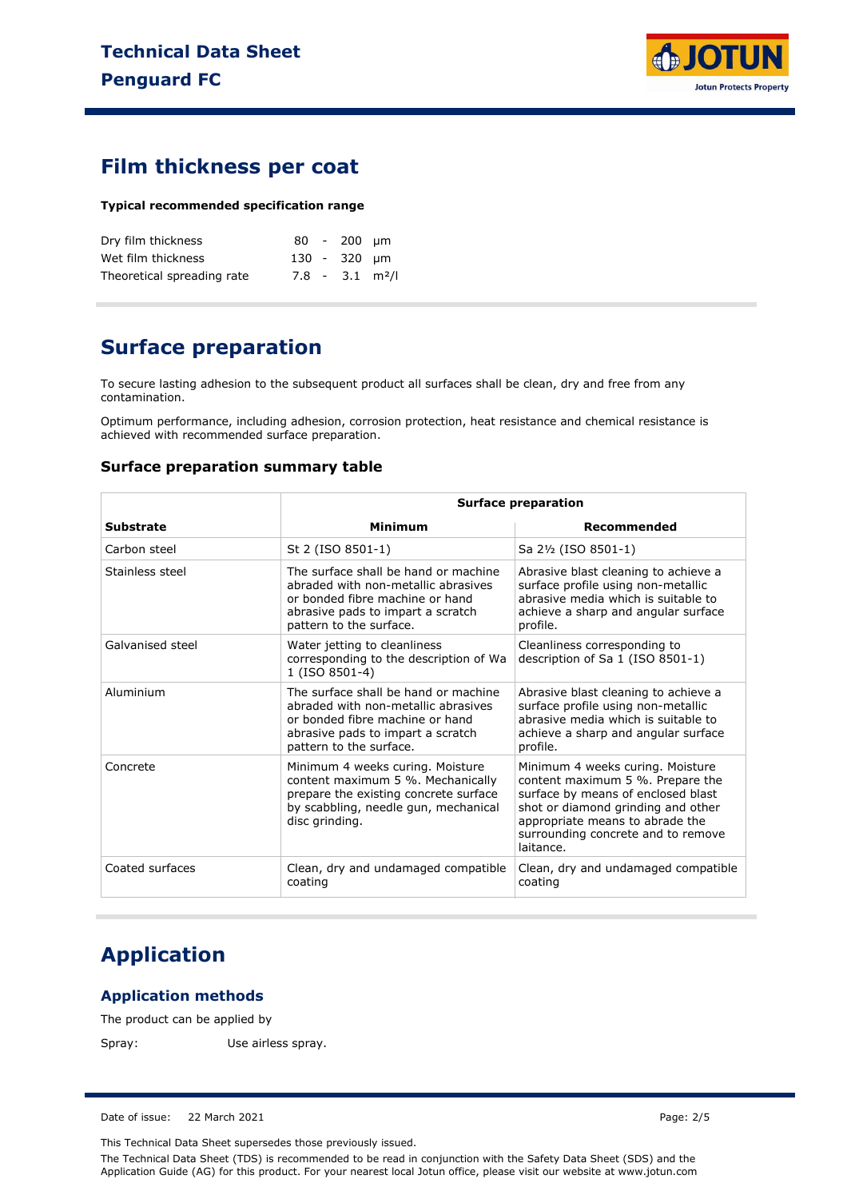

### **Film thickness per coat**

#### **Typical recommended specification range**

| Dry film thickness         |  | $80 - 200$ um                 |  |
|----------------------------|--|-------------------------------|--|
| Wet film thickness         |  | 130 - 320 um                  |  |
| Theoretical spreading rate |  | $7.8 - 3.1$ m <sup>2</sup> /l |  |

### **Surface preparation**

To secure lasting adhesion to the subsequent product all surfaces shall be clean, dry and free from any contamination.

Optimum performance, including adhesion, corrosion protection, heat resistance and chemical resistance is achieved with recommended surface preparation.

#### **Surface preparation summary table**

|                  | <b>Surface preparation</b>                                                                                                                                                     |                                                                                                                                                                                                                                        |  |
|------------------|--------------------------------------------------------------------------------------------------------------------------------------------------------------------------------|----------------------------------------------------------------------------------------------------------------------------------------------------------------------------------------------------------------------------------------|--|
| <b>Substrate</b> | Minimum                                                                                                                                                                        | Recommended                                                                                                                                                                                                                            |  |
| Carbon steel     | St 2 (ISO 8501-1)                                                                                                                                                              | Sa 2½ (ISO 8501-1)                                                                                                                                                                                                                     |  |
| Stainless steel  | The surface shall be hand or machine<br>abraded with non-metallic abrasives<br>or bonded fibre machine or hand<br>abrasive pads to impart a scratch<br>pattern to the surface. | Abrasive blast cleaning to achieve a<br>surface profile using non-metallic<br>abrasive media which is suitable to<br>achieve a sharp and angular surface<br>profile.                                                                   |  |
| Galvanised steel | Water jetting to cleanliness<br>corresponding to the description of Wa<br>1 (ISO 8501-4)                                                                                       | Cleanliness corresponding to<br>description of Sa 1 (ISO 8501-1)                                                                                                                                                                       |  |
| Aluminium        | The surface shall be hand or machine<br>abraded with non-metallic abrasives<br>or bonded fibre machine or hand<br>abrasive pads to impart a scratch<br>pattern to the surface. | Abrasive blast cleaning to achieve a<br>surface profile using non-metallic<br>abrasive media which is suitable to<br>achieve a sharp and angular surface<br>profile.                                                                   |  |
| Concrete         | Minimum 4 weeks curing. Moisture<br>content maximum 5 %. Mechanically<br>prepare the existing concrete surface<br>by scabbling, needle gun, mechanical<br>disc grinding.       | Minimum 4 weeks curing. Moisture<br>content maximum 5 %. Prepare the<br>surface by means of enclosed blast<br>shot or diamond grinding and other<br>appropriate means to abrade the<br>surrounding concrete and to remove<br>laitance. |  |
| Coated surfaces  | Clean, dry and undamaged compatible<br>coating                                                                                                                                 | Clean, dry and undamaged compatible<br>coating                                                                                                                                                                                         |  |

## **Application**

#### **Application methods**

The product can be applied by

Spray: Use airless spray.

Date of issue: 22 March 2021 Page: 2/5

This Technical Data Sheet supersedes those previously issued.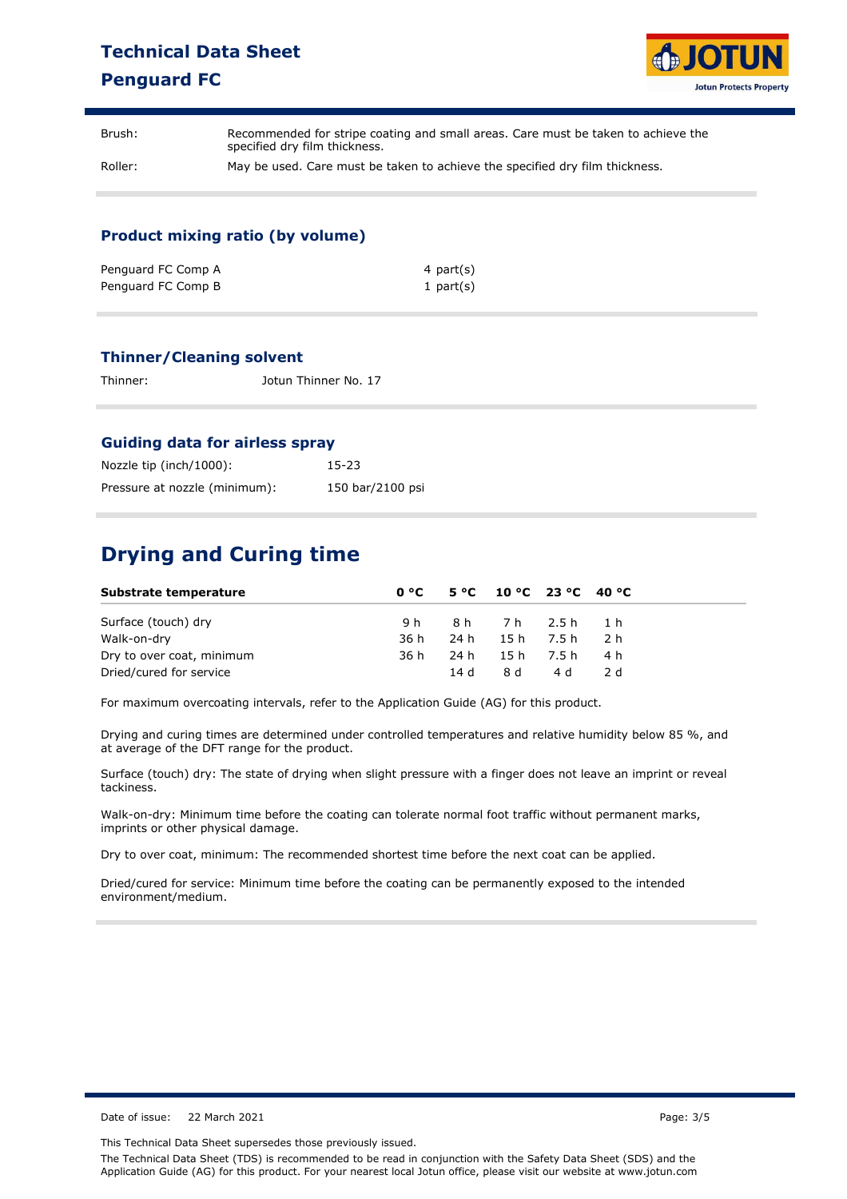### **Technical Data Sheet Penguard FC**



| Brush:  | Recommended for stripe coating and small areas. Care must be taken to achieve the<br>specified dry film thickness. |
|---------|--------------------------------------------------------------------------------------------------------------------|
| Roller: | May be used. Care must be taken to achieve the specified dry film thickness.                                       |

#### **Product mixing ratio (by volume)**

| Penguard FC Comp A | 4 part(s)    |
|--------------------|--------------|
| Penguard FC Comp B | 1 part $(s)$ |

#### **Thinner/Cleaning solvent**

| Thinner: | Jotun Thinner No. 17 |
|----------|----------------------|
|          |                      |

#### **Guiding data for airless spray**

| Nozzle tip (inch/1000):       | $15 - 23$        |
|-------------------------------|------------------|
| Pressure at nozzle (minimum): | 150 bar/2100 psi |

## **Drying and Curing time**

| Substrate temperature     |      |  | $0^{\circ}$ C 5 °C 10 °C 23 °C 40 °C |       |
|---------------------------|------|--|--------------------------------------|-------|
| Surface (touch) dry       |      |  | 9h 8h 7h 2.5h 1h                     |       |
| Walk-on-dry               | 36 h |  | 24h 15h 7.5h 2.h                     |       |
| Dry to over coat, minimum | 36 h |  | 24h 15h 7.5h 4h                      |       |
| Dried/cured for service   |      |  | 14 d 8 d 4 d                         | - 2 d |

For maximum overcoating intervals, refer to the Application Guide (AG) for this product.

Drying and curing times are determined under controlled temperatures and relative humidity below 85 %, and at average of the DFT range for the product.

Surface (touch) dry: The state of drying when slight pressure with a finger does not leave an imprint or reveal tackiness.

Walk-on-dry: Minimum time before the coating can tolerate normal foot traffic without permanent marks, imprints or other physical damage.

Dry to over coat, minimum: The recommended shortest time before the next coat can be applied.

Dried/cured for service: Minimum time before the coating can be permanently exposed to the intended environment/medium.

Date of issue: 22 March 2021 **Page: 3/5** 

This Technical Data Sheet supersedes those previously issued.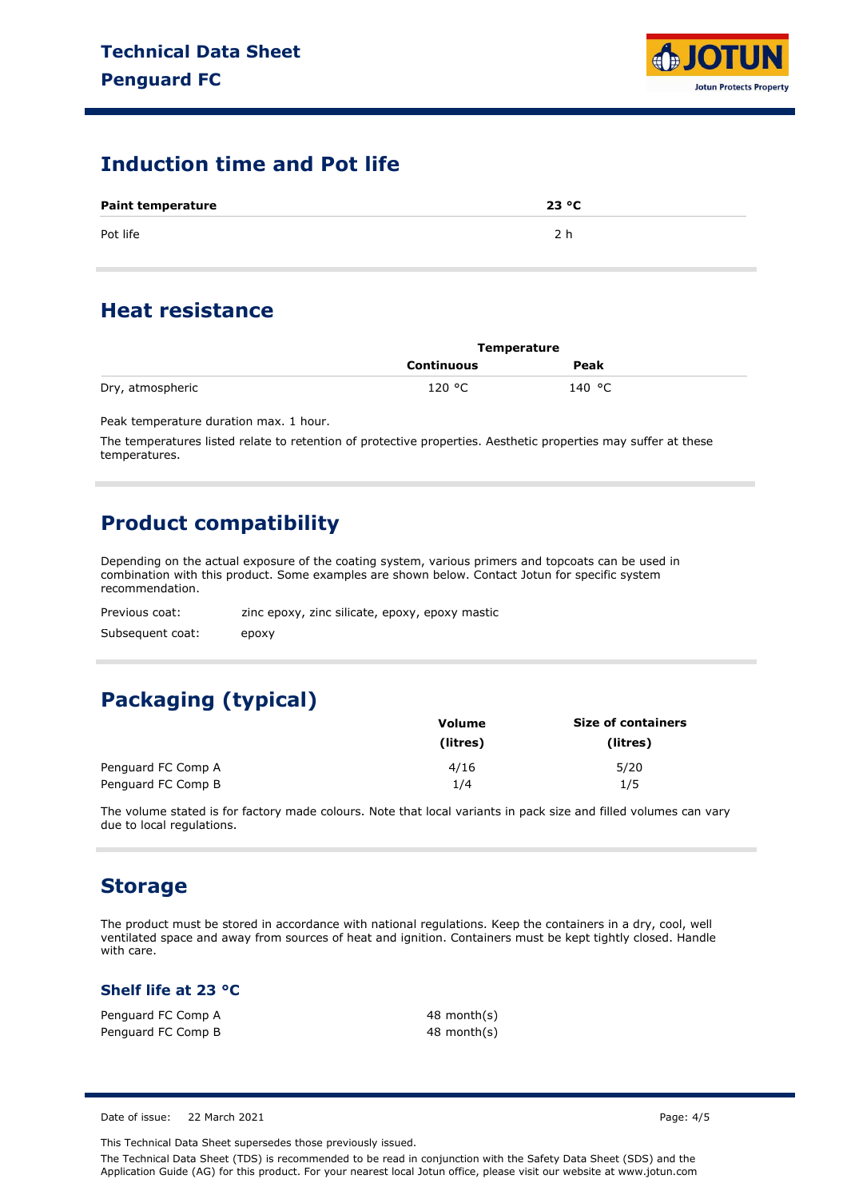

### **Induction time and Pot life**

| <b>Paint temperature</b> | 23 °C |
|--------------------------|-------|
| Pot life                 |       |

### **Heat resistance**

|                  | Temperature       |        |  |
|------------------|-------------------|--------|--|
|                  | <b>Continuous</b> | Peak   |  |
| Dry, atmospheric | 120 °C            | 140 °C |  |

Peak temperature duration max. 1 hour.

The temperatures listed relate to retention of protective properties. Aesthetic properties may suffer at these temperatures.

## **Product compatibility**

Depending on the actual exposure of the coating system, various primers and topcoats can be used in combination with this product. Some examples are shown below. Contact Jotun for specific system recommendation.

| Previous coat:   | zinc epoxy, zinc silicate, epoxy, epoxy mastic |
|------------------|------------------------------------------------|
| Subsequent coat: | epoxy                                          |

# **Packaging (typical)**

|                    | Volume   | <b>Size of containers</b> |
|--------------------|----------|---------------------------|
|                    | (litres) | (litres)                  |
| Penguard FC Comp A | 4/16     | 5/20                      |
| Penguard FC Comp B | 1/4      | 1/5                       |

The volume stated is for factory made colours. Note that local variants in pack size and filled volumes can vary due to local regulations.

### **Storage**

The product must be stored in accordance with national regulations. Keep the containers in a dry, cool, well ventilated space and away from sources of heat and ignition. Containers must be kept tightly closed. Handle with care.

#### **Shelf life at 23 °C**

Penguard FC Comp A Penguard FC Comp B 48 month(s) 48 month(s)

Date of issue: 22 March 2021 Page: 4/5

This Technical Data Sheet supersedes those previously issued.